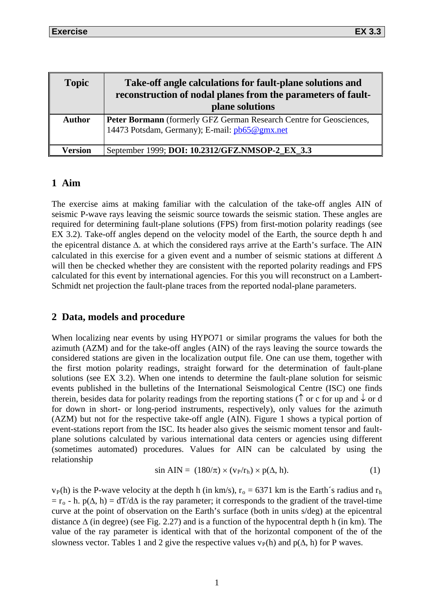| <b>Topic</b>  | Take-off angle calculations for fault-plane solutions and<br>reconstruction of nodal planes from the parameters of fault-<br>plane solutions |
|---------------|----------------------------------------------------------------------------------------------------------------------------------------------|
| <b>Author</b> | Peter Bormann (formerly GFZ German Research Centre for Geosciences,<br>14473 Potsdam, Germany); E-mail: pb65@gmx.net                         |
| Version       | September 1999; DOI: 10.2312/GFZ.NMSOP-2_EX_3.3                                                                                              |

#### **1 Aim**

The exercise aims at making familiar with the calculation of the take-off angles AIN of seismic P-wave rays leaving the seismic source towards the seismic station. These angles are required for determining fault-plane solutions (FPS) from first-motion polarity readings (see EX 3.2). Take-off angles depend on the velocity model of the Earth, the source depth h and the epicentral distance ∆. at which the considered rays arrive at the Earth's surface. The AIN calculated in this exercise for a given event and a number of seismic stations at different ∆ will then be checked whether they are consistent with the reported polarity readings and FPS calculated for this event by international agencies. For this you will reconstruct on a Lambert-Schmidt net projection the fault-plane traces from the reported nodal-plane parameters.

## **2 Data, models and procedure**

When localizing near events by using HYPO71 or similar programs the values for both the azimuth (AZM) and for the take-off angles (AIN) of the rays leaving the source towards the considered stations are given in the localization output file. One can use them, together with the first motion polarity readings, straight forward for the determination of fault-plane solutions (see EX 3.2). When one intends to determine the fault-plane solution for seismic events published in the bulletins of the International Seismological Centre (ISC) one finds therein, besides data for polarity readings from the reporting stations ( $\uparrow$  or c for up and  $\downarrow$  or d for down in short- or long-period instruments, respectively), only values for the azimuth (AZM) but not for the respective take-off angle (AIN). Figure 1 shows a typical portion of event-stations report from the ISC. Its header also gives the seismic moment tensor and faultplane solutions calculated by various international data centers or agencies using different (sometimes automated) procedures. Values for AIN can be calculated by using the relationship

$$
\sin \text{AIN} = (180/\pi) \times (\text{v}_P/\text{r}_h) \times \text{p}(\Delta, h). \tag{1}
$$

 $v_P(h)$  is the P-wave velocity at the depth h (in km/s),  $r_o = 6371$  km is the Earth's radius and  $r_h$  $= r_0 - h$ . p( $\Delta$ , h) = dT/d $\Delta$  is the ray parameter; it corresponds to the gradient of the travel-time curve at the point of observation on the Earth's surface (both in units s/deg) at the epicentral distance ∆ (in degree) (see Fig. 2.27) and is a function of the hypocentral depth h (in km). The value of the ray parameter is identical with that of the horizontal component of the of the slowness vector. Tables 1 and 2 give the respective values  $v_P(h)$  and  $p(\Delta, h)$  for P waves.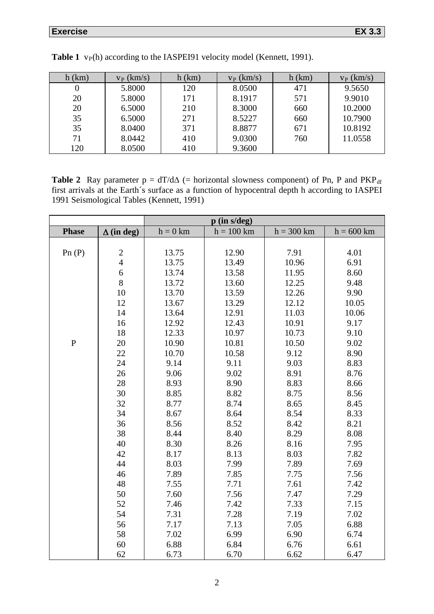| $h$ (km) | $v_P$ (km/s) | $h$ (km) | $v_P$ (km/s) | $h$ (km) | $v_P$ (km/s) |
|----------|--------------|----------|--------------|----------|--------------|
| $\theta$ | 5.8000       | 120      | 8.0500       | 471      | 9.5650       |
| 20       | 5.8000       | 171      | 8.1917       | 571      | 9.9010       |
| 20       | 6.5000       | 210      | 8.3000       | 660      | 10.2000      |
| 35       | 6.5000       | 271      | 8.5227       | 660      | 10.7900      |
| 35       | 8.0400       | 371      | 8.8877       | 671      | 10.8192      |
| 71       | 8.0442       | 410      | 9.0300       | 760      | 11.0558      |
| 120      | 8.0500       | 410      | 9.3600       |          |              |

**Table 1** v<sub>P</sub>(h) according to the IASPEI91 velocity model (Kennett, 1991).

**Table 2** Ray parameter  $p = dT/d\Delta$  (= horizontal slowness component) of Pn, P and PKP<sub>df</sub> first arrivals at the Earth´s surface as a function of hypocentral depth h according to IASPEI 1991 Seismological Tables (Kennett, 1991)

|              |                         |            | $p$ (in s/deg) |              |              |
|--------------|-------------------------|------------|----------------|--------------|--------------|
| <b>Phase</b> | $\Delta$ (in deg)       | $h = 0$ km | $h = 100$ km   | $h = 300$ km | $h = 600$ km |
|              |                         |            |                |              |              |
| Pn $(P)$     | $\overline{\mathbf{c}}$ | 13.75      | 12.90          | 7.91         | 4.01         |
|              | $\overline{4}$          | 13.75      | 13.49          | 10.96        | 6.91         |
|              | 6                       | 13.74      | 13.58          | 11.95        | 8.60         |
|              | 8                       | 13.72      | 13.60          | 12.25        | 9.48         |
|              | 10                      | 13.70      | 13.59          | 12.26        | 9.90         |
|              | 12                      | 13.67      | 13.29          | 12.12        | 10.05        |
|              | 14                      | 13.64      | 12.91          | 11.03        | 10.06        |
|              | 16                      | 12.92      | 12.43          | 10.91        | 9.17         |
|              | 18                      | 12.33      | 10.97          | 10.73        | 9.10         |
| $\, {\bf P}$ | 20                      | 10.90      | 10.81          | 10.50        | 9.02         |
|              | 22                      | 10.70      | 10.58          | 9.12         | 8.90         |
|              | 24                      | 9.14       | 9.11           | 9.03         | 8.83         |
|              | 26                      | 9.06       | 9.02           | 8.91         | 8.76         |
|              | 28                      | 8.93       | 8.90           | 8.83         | 8.66         |
|              | 30                      | 8.85       | 8.82           | 8.75         | 8.56         |
|              | 32                      | 8.77       | 8.74           | 8.65         | 8.45         |
|              | 34                      | 8.67       | 8.64           | 8.54         | 8.33         |
|              | 36                      | 8.56       | 8.52           | 8.42         | 8.21         |
|              | 38                      | 8.44       | 8.40           | 8.29         | 8.08         |
|              | 40                      | 8.30       | 8.26           | 8.16         | 7.95         |
|              | 42                      | 8.17       | 8.13           | 8.03         | 7.82         |
|              | 44                      | 8.03       | 7.99           | 7.89         | 7.69         |
|              | 46                      | 7.89       | 7.85           | 7.75         | 7.56         |
|              | 48                      | 7.55       | 7.71           | 7.61         | 7.42         |
|              | 50                      | 7.60       | 7.56           | 7.47         | 7.29         |
|              | 52                      | 7.46       | 7.42           | 7.33         | 7.15         |
|              | 54                      | 7.31       | 7.28           | 7.19         | 7.02         |
|              | 56                      | 7.17       | 7.13           | 7.05         | 6.88         |
|              | 58                      | 7.02       | 6.99           | 6.90         | 6.74         |
|              | 60                      | 6.88       | 6.84           | 6.76         | 6.61         |
|              | 62                      | 6.73       | 6.70           | 6.62         | 6.47         |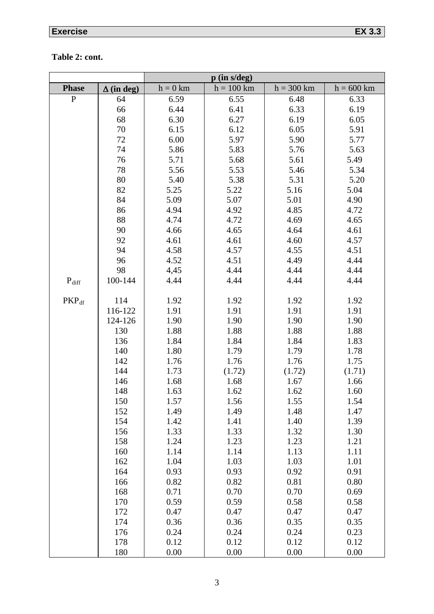# **Exercise EX 3.3**

## **Table 2: cont.**

|              |                   | $p$ (in s/deg) |              |              |              |  |
|--------------|-------------------|----------------|--------------|--------------|--------------|--|
| <b>Phase</b> | $\Delta$ (in deg) | $h = 0$ km     | $h = 100$ km | $h = 300$ km | $h = 600$ km |  |
| ${\bf P}$    | 64                | 6.59           | 6.55         | 6.48         | 6.33         |  |
|              | 66                | 6.44           | 6.41         | 6.33         | 6.19         |  |
|              | 68                | 6.30           | 6.27         | 6.19         | 6.05         |  |
|              | 70                | 6.15           | 6.12         | 6.05         | 5.91         |  |
|              | 72                | 6.00           | 5.97         | 5.90         | 5.77         |  |
|              | 74                | 5.86           | 5.83         | 5.76         | 5.63         |  |
|              | 76                | 5.71           | 5.68         | 5.61         | 5.49         |  |
|              | 78                | 5.56           | 5.53         | 5.46         | 5.34         |  |
|              | 80                | 5.40           | 5.38         | 5.31         | 5.20         |  |
|              | 82                | 5.25           | 5.22         | 5.16         | 5.04         |  |
|              | 84                | 5.09           | 5.07         | 5.01         | 4.90         |  |
|              | 86                | 4.94           | 4.92         | 4.85         | 4.72         |  |
|              | 88                | 4.74           | 4.72         | 4.69         | 4.65         |  |
|              | 90                | 4.66           | 4.65         | 4.64         | 4.61         |  |
|              | 92                | 4.61           | 4.61         | 4.60         | 4.57         |  |
|              | 94                | 4.58           | 4.57         | 4.55         | 4.51         |  |
|              | 96                | 4.52           | 4.51         | 4.49         | 4.44         |  |
|              | 98                | 4,45           | 4.44         | 4.44         | 4.44         |  |
| $P_{diff}$   | 100-144           | 4.44           | 4.44         | 4.44         | 4.44         |  |
|              |                   |                |              |              |              |  |
| $PKP_{df}$   | 114               | 1.92           | 1.92         | 1.92         | 1.92         |  |
|              | 116-122           | 1.91           | 1.91         | 1.91         | 1.91         |  |
|              | 124-126           | 1.90           | 1.90         | 1.90         | 1.90         |  |
|              | 130               | 1.88           | 1.88         | 1.88         | 1.88         |  |
|              | 136               | 1.84           | 1.84         | 1.84         | 1.83         |  |
|              | 140               | 1.80           | 1.79         | 1.79         | 1.78         |  |
|              | 142               | 1.76           | 1.76         | 1.76         | 1.75         |  |
|              | 144               | 1.73           | (1.72)       | (1.72)       | (1.71)       |  |
|              | 146<br>148        | 1.68           | 1.68         | 1.67         | 1.66         |  |
|              | 150               | 1.63<br>1.57   | 1.62<br>1.56 | 1.62<br>1.55 | 1.60<br>1.54 |  |
|              | 152               | 1.49           | 1.49         | 1.48         | 1.47         |  |
|              | 154               | 1.42           | 1.41         | 1.40         | 1.39         |  |
|              | 156               | 1.33           | 1.33         | 1.32         | 1.30         |  |
|              | 158               | 1.24           | 1.23         | 1.23         | 1.21         |  |
|              | 160               | 1.14           | 1.14         | 1.13         | 1.11         |  |
|              | 162               | 1.04           | 1.03         | 1.03         | 1.01         |  |
|              | 164               | 0.93           | 0.93         | 0.92         | 0.91         |  |
|              | 166               | 0.82           | 0.82         | 0.81         | 0.80         |  |
|              | 168               | 0.71           | 0.70         | 0.70         | 0.69         |  |
|              | 170               | 0.59           | 0.59         | 0.58         | 0.58         |  |
|              | 172               | 0.47           | 0.47         | 0.47         | 0.47         |  |
|              | 174               | 0.36           | 0.36         | 0.35         | 0.35         |  |
|              | 176               | 0.24           | 0.24         | 0.24         | 0.23         |  |
|              | 178               | 0.12           | 0.12         | 0.12         | 0.12         |  |
|              | 180               | 0.00           | 0.00         | 0.00         | 0.00         |  |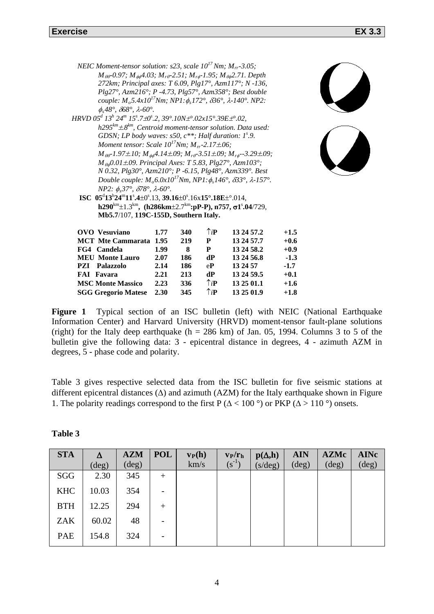| <b>FAI</b> Favara | 2.21                                                                                                              | 213                                                                                                                                                                                             |                                              | 13 24 59.5                                                                                                                                  |                                                                                                                                                                                                                                                                                                                                                                                                                                                                                                                                                                                                                                                                                                                                                                                                                                                                                                                                                                                                                                                                                                                                                                                                                 |                                                                                                                                                                              |
|-------------------|-------------------------------------------------------------------------------------------------------------------|-------------------------------------------------------------------------------------------------------------------------------------------------------------------------------------------------|----------------------------------------------|---------------------------------------------------------------------------------------------------------------------------------------------|-----------------------------------------------------------------------------------------------------------------------------------------------------------------------------------------------------------------------------------------------------------------------------------------------------------------------------------------------------------------------------------------------------------------------------------------------------------------------------------------------------------------------------------------------------------------------------------------------------------------------------------------------------------------------------------------------------------------------------------------------------------------------------------------------------------------------------------------------------------------------------------------------------------------------------------------------------------------------------------------------------------------------------------------------------------------------------------------------------------------------------------------------------------------------------------------------------------------|------------------------------------------------------------------------------------------------------------------------------------------------------------------------------|
|                   |                                                                                                                   |                                                                                                                                                                                                 |                                              |                                                                                                                                             |                                                                                                                                                                                                                                                                                                                                                                                                                                                                                                                                                                                                                                                                                                                                                                                                                                                                                                                                                                                                                                                                                                                                                                                                                 |                                                                                                                                                                              |
|                   | <b>OVO</b> Vesuviano<br>FG4 Candela<br><b>MEU Monte Lauro</b><br><b>PZI</b> Palazzolo<br><b>MSC Monte Massico</b> | $\phi_s 48^\circ$ , $\delta 68^\circ$ , $\lambda$ -60°.<br><i>NP2:</i> $\phi_s 37^\circ$ , $\delta 78^\circ$ , $\lambda$ -60°.<br>1.77<br><b>MCT</b> Mte Cammarata 1.95<br>1.99<br>2.07<br>2.14 | 340<br>219<br>8<br>186<br>186<br>336<br>2.23 | Mb5.7/107, 119C-155D, Southern Italy.<br>$\uparrow$ <sub>i</sub> P<br>P<br>${\bf P}$<br>dP<br>$e{\bf P}$<br>dP<br>$\uparrow$ <sub>i</sub> P | IVEIC MOMENI-tensor southon, $SZJ$ , scale TO TVM, $M_{rr}$ -5.05,<br>$M_{\theta\theta}$ -0.97; $M_{\phi\phi}$ 4.03; $M_{r\theta}$ -2.51; $M_{r\phi}$ -1.95; $M_{\theta\phi}$ 2.71. Depth<br>272km; Principal axes: T 6.09, Plg17°, Azm117°; N -136,<br>Plg27°, Azm216°; P -4.73, Plg57°, Azm358°; Best double<br>couple: $M_o 5.4x10^{17} Nm$ ; NP1: $\phi_s 172^\circ$ , $\delta 36^\circ$ , $\lambda$ -140°. NP2:<br>HRVD $05d 13h 24m 15s$ .7±0°.2, 39°.10N±°.02x15°.39E±°.02,<br>$h295^{km} \pm 8^{km}$ , Centroid moment-tensor solution. Data used:<br>GDSN; LP body waves: $s50$ , $c^{**}$ ; Half duration: $I^s.9$ .<br>Moment tensor: Scale $10^{17}$ Nm; $M_{rr}$ -2.17 $\pm$ .06;<br>$M_{\theta\phi}0.01\pm 09$ . Principal Axes: T 5.83, Plg27°, Azm103°;<br>N 0.32, Plg30°, Azm210°; P -6.15, Plg48°, Azm339°. Best<br>Double couple: $M_o 6.0x 10^{17} Nm$ , NP1: $\phi_s 146^\circ$ , $\delta 33^\circ$ , $\lambda$ -157°.<br>ISC $05^{d}13^{h}24^{m}11^{s}4\pm0^{s}13$ , $39.16\pm0^{s}16\times15^{o}18E\pm0014$ ,<br>$h290^{km} \pm 1.3^{km}$ , $(h286km \pm 2.7^{km}$ ; pP-P), n757, $\sigma1^s.04/729$ ,<br>13 24 57.2<br>13 24 57.7<br>13 24 58.2<br>13 24 56.8<br>13 24 57<br>13 25 01.1 | $M_{\theta\theta}$ -1.97±10; $M_{\phi\phi}$ 4.14±.09; $M_{r\theta}$ -3.51±.09; $M_{r\phi}$ --3.29±.09;<br>$+1.5$<br>$+0.6$<br>$+0.9$<br>$-1.3$<br>$-1.7$<br>$+0.1$<br>$+1.6$ |

*NEIC Moment-tensor solution: s23, scale 1017 Nm; Mrr-3.05;*

**Figure 1** Typical section of an ISC bulletin (left) with NEIC (National Earthquake Information Center) and Harvard University (HRVD) moment-tensor fault-plane solutions (right) for the Italy deep earthquake (h = 286 km) of Jan. 05, 1994. Columns 3 to 5 of the bulletin give the following data: 3 - epicentral distance in degrees, 4 - azimuth AZM in degrees, 5 - phase code and polarity.

**SGG Gregorio Matese 2.30 345** ↑*i***P 13 25 01.9 +1.8**

Table 3 gives respective selected data from the ISC bulletin for five seismic stations at different epicentral distances (∆) and azimuth (AZM) for the Italy earthquake shown in Figure 1. The polarity readings correspond to the first P ( $\Delta$  < 100 °) or PKP ( $\Delta$  > 110 °) onsets.

| <b>STA</b> |                | <b>AZM</b>     | <b>POL</b> | $v_P(h)$ | $v_P/r_h$        | $p(\Delta,h)$    | <b>AIN</b>     | <b>AZMc</b>    | <b>AINc</b>    |
|------------|----------------|----------------|------------|----------|------------------|------------------|----------------|----------------|----------------|
|            | $(\text{deg})$ | $(\text{deg})$ |            | km/s     | $({\rm s}^{-1})$ | $(s/\text{deg})$ | $(\text{deg})$ | $(\text{deg})$ | $(\text{deg})$ |
| SGG        | 2.30           | 345            | $^{+}$     |          |                  |                  |                |                |                |
| <b>KHC</b> | 10.03          | 354            |            |          |                  |                  |                |                |                |
| <b>BTH</b> | 12.25          | 294            | $^{+}$     |          |                  |                  |                |                |                |
| <b>ZAK</b> | 60.02          | 48             | -          |          |                  |                  |                |                |                |
| PAE        | 154.8          | 324            |            |          |                  |                  |                |                |                |

**Table 3**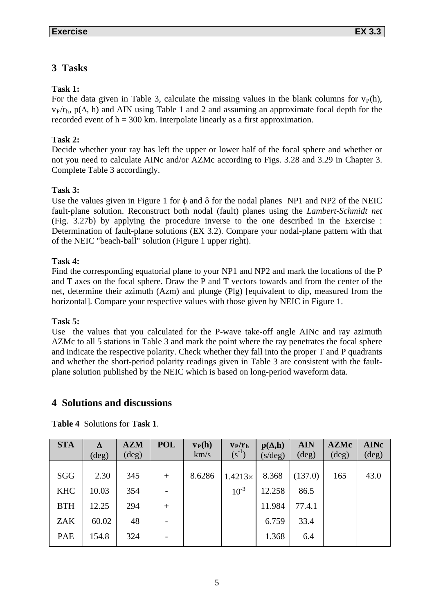## **3 Tasks**

## **Task 1:**

For the data given in Table 3, calculate the missing values in the blank columns for  $v_P(h)$ ,  $v<sub>P</sub>/r<sub>h</sub>$ ,  $p(\Delta, h)$  and AIN using Table 1 and 2 and assuming an approximate focal depth for the recorded event of  $h = 300$  km. Interpolate linearly as a first approximation.

## **Task 2:**

Decide whether your ray has left the upper or lower half of the focal sphere and whether or not you need to calculate AINc and/or AZMc according to Figs. 3.28 and 3.29 in Chapter 3. Complete Table 3 accordingly.

### **Task 3:**

Use the values given in Figure 1 for  $\phi$  and  $\delta$  for the nodal planes NP1 and NP2 of the NEIC fault-plane solution. Reconstruct both nodal (fault) planes using the *Lambert-Schmidt net* (Fig. 3.27b) by applying the procedure inverse to the one described in the Exercise : Determination of fault-plane solutions (EX 3.2). Compare your nodal-plane pattern with that of the NEIC "beach-ball" solution (Figure 1 upper right).

#### **Task 4:**

Find the corresponding equatorial plane to your NP1 and NP2 and mark the locations of the P and T axes on the focal sphere. Draw the P and T vectors towards and from the center of the net, determine their azimuth (Azm) and plunge (Plg) [equivalent to dip, measured from the horizontal]. Compare your respective values with those given by NEIC in Figure 1.

#### **Task 5:**

Use the values that you calculated for the P-wave take-off angle AINc and ray azimuth AZMc to all 5 stations in Table 3 and mark the point where the ray penetrates the focal sphere and indicate the respective polarity. Check whether they fall into the proper T and P quadrants and whether the short-period polarity readings given in Table 3 are consistent with the faultplane solution published by the NEIC which is based on long-period waveform data.

## **4 Solutions and discussions**

| <b>STA</b> |                | <b>AZM</b>     | <b>POL</b> | $v_P(h)$ | $v_P/r_h$      | $p(\Delta, h)$   | <b>AIN</b>     | <b>AZMc</b>    | <b>AINc</b>    |
|------------|----------------|----------------|------------|----------|----------------|------------------|----------------|----------------|----------------|
|            | $(\text{deg})$ | $(\text{deg})$ |            | km/s     | $(s^{-1})$     | $(s/\text{deg})$ | $(\text{deg})$ | $(\text{deg})$ | $(\text{deg})$ |
| SGG        | 2.30           | 345            | $+$        | 8.6286   | $1.4213\times$ | 8.368            | (137.0)        | 165            | 43.0           |
| <b>KHC</b> | 10.03          | 354            |            |          | $10^{-3}$      | 12.258           | 86.5           |                |                |
| <b>BTH</b> | 12.25          | 294            | $+$        |          |                | 11.984           | 77.4.1         |                |                |
| <b>ZAK</b> | 60.02          | 48             |            |          |                | 6.759            | 33.4           |                |                |
| PAE        | 154.8          | 324            |            |          |                | 1.368            | 6.4            |                |                |

**Table 4** Solutions for **Task 1**.